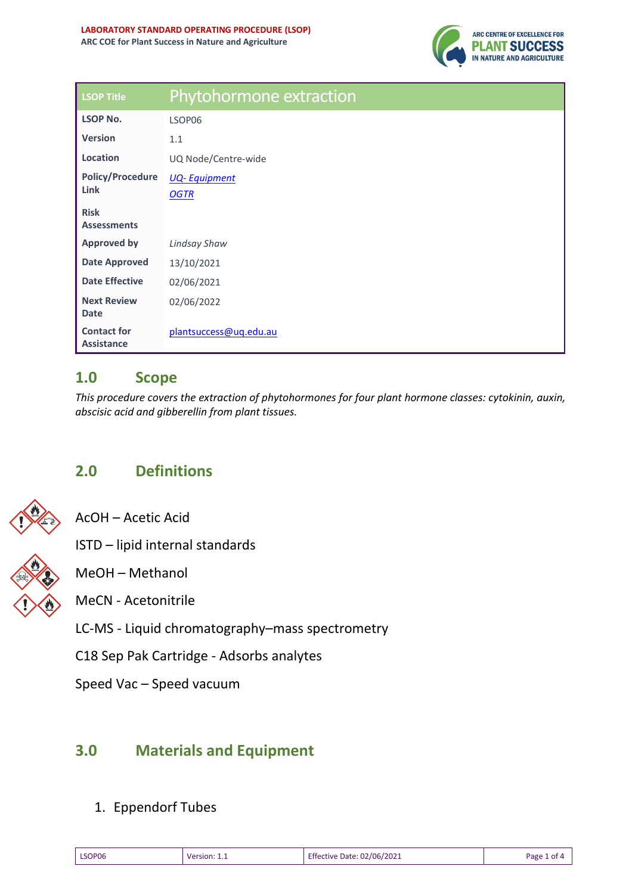

| <b>LSOP Title</b>                       | Phytohormone extraction |
|-----------------------------------------|-------------------------|
| <b>LSOP No.</b>                         | LSOP06                  |
| <b>Version</b>                          | 1.1                     |
| Location                                | UQ Node/Centre-wide     |
| <b>Policy/Procedure</b><br>Link         | <b>UQ-Equipment</b>     |
|                                         | <b>OGTR</b>             |
| <b>Risk</b>                             |                         |
| <b>Assessments</b>                      |                         |
| <b>Approved by</b>                      | <b>Lindsay Shaw</b>     |
| <b>Date Approved</b>                    | 13/10/2021              |
| <b>Date Effective</b>                   | 02/06/2021              |
| <b>Next Review</b>                      | 02/06/2022              |
| <b>Date</b>                             |                         |
| <b>Contact for</b><br><b>Assistance</b> | plantsuccess@uq.edu.au  |

### **1.0 Scope**

*This procedure covers the extraction of phytohormones for four plant hormone classes: cytokinin, auxin, abscisic acid and gibberellin from plant tissues.* 

# **2.0 Definitions**



AcOH – Acetic Acid

ISTD – lipid internal standards



MeCN - Acetonitrile

LC-MS - Liquid chromatography–mass spectrometry

C18 Sep Pak Cartridge - Adsorbs analytes

Speed Vac – Speed vacuum

## **3.0 Materials and Equipment**

#### 1. Eppendorf Tubes

| LSOP06<br>. | <b>Version</b> | 02/06/2021<br>Ate ا<br>:tive<br>. ⊷.<br>. | Раре |
|-------------|----------------|-------------------------------------------|------|
|-------------|----------------|-------------------------------------------|------|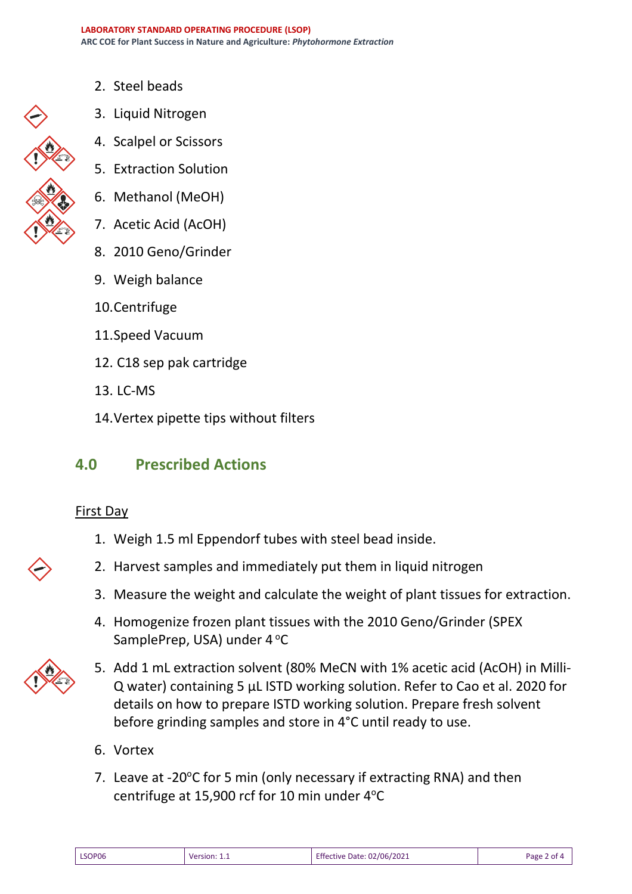- 2. Steel beads
- 3. Liquid Nitrogen
- 4. Scalpel or Scissors
- 5. Extraction Solution
- 6. Methanol (MeOH)
- 7. Acetic Acid (AcOH)
- 8. 2010 Geno/Grinder
- 9. Weigh balance
- 10.Centrifuge
- 11.Speed Vacuum
- 12. C18 sep pak cartridge
- 13. LC-MS
- 14.Vertex pipette tips without filters

## **4.0 Prescribed Actions**

#### First Day

- 1. Weigh 1.5 ml Eppendorf tubes with steel bead inside.
- 2. Harvest samples and immediately put them in liquid nitrogen
- 3. Measure the weight and calculate the weight of plant tissues for extraction.
- 4. Homogenize frozen plant tissues with the 2010 Geno/Grinder (SPEX SamplePrep, USA) under 4 °C



- 5. Add 1 mL extraction solvent (80% MeCN with 1% acetic acid (AcOH) in Milli-Q water) containing 5 µL ISTD working solution. Refer to Cao et al. 2020 for details on how to prepare ISTD working solution. Prepare fresh solvent before grinding samples and store in 4°C until ready to use.
- 6. Vortex
- 7. Leave at -20 $\degree$ C for 5 min (only necessary if extracting RNA) and then centrifuge at 15,900 rcf for 10 min under 4°C

| LSOP06 | Version: 1.1 | Effective Date: 02/06/2021 | Page 2 of 4 |
|--------|--------------|----------------------------|-------------|
|--------|--------------|----------------------------|-------------|

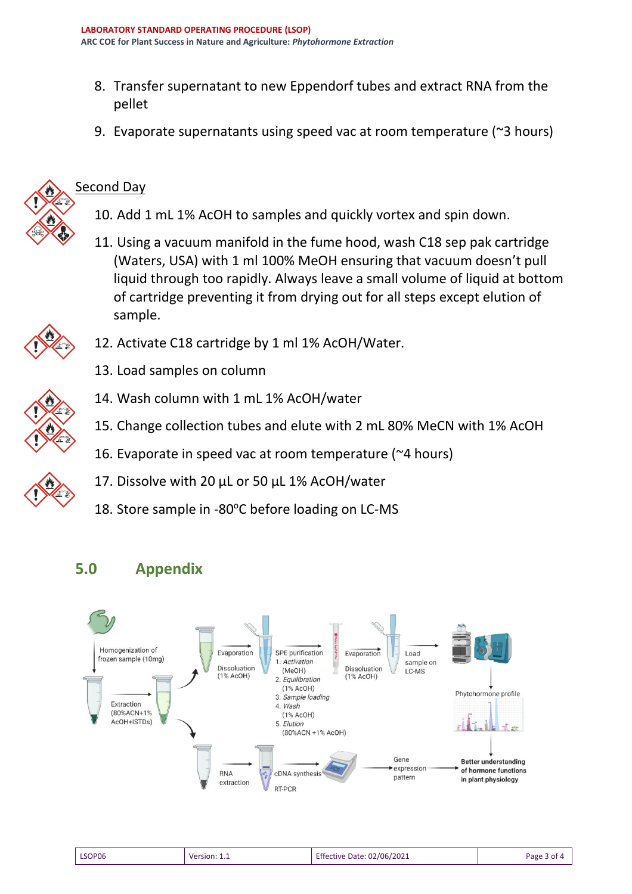- 8. Transfer supernatant to new Eppendorf tubes and extract RNA from the pellet
- 9. Evaporate supernatants using speed vac at room temperature (~3 hours)



### Second Day

- 10. Add 1 mL 1% AcOH to samples and quickly vortex and spin down.
- 11. Using a vacuum manifold in the fume hood, wash C18 sep pak cartridge (Waters, USA) with 1 ml 100% MeOH ensuring that vacuum doesn't pull liquid through too rapidly. Always leave a small volume of liquid at bottom of cartridge preventing it from drying out for all steps except elution of sample.



- 13. Load samples on column
- 
- 14. Wash column with 1 mL 1% AcOH/water
- 15. Change collection tubes and elute with 2 mL 80% MeCN with 1% AcOH
- 16. Evaporate in speed vac at room temperature (~4 hours)
- 17. Dissolve with 20 µL or 50 µL 1% AcOH/water
- 18. Store sample in -80 $^{\circ}$ C before loading on LC-MS

12. Activate C18 cartridge by 1 ml 1% AcOH/Water.